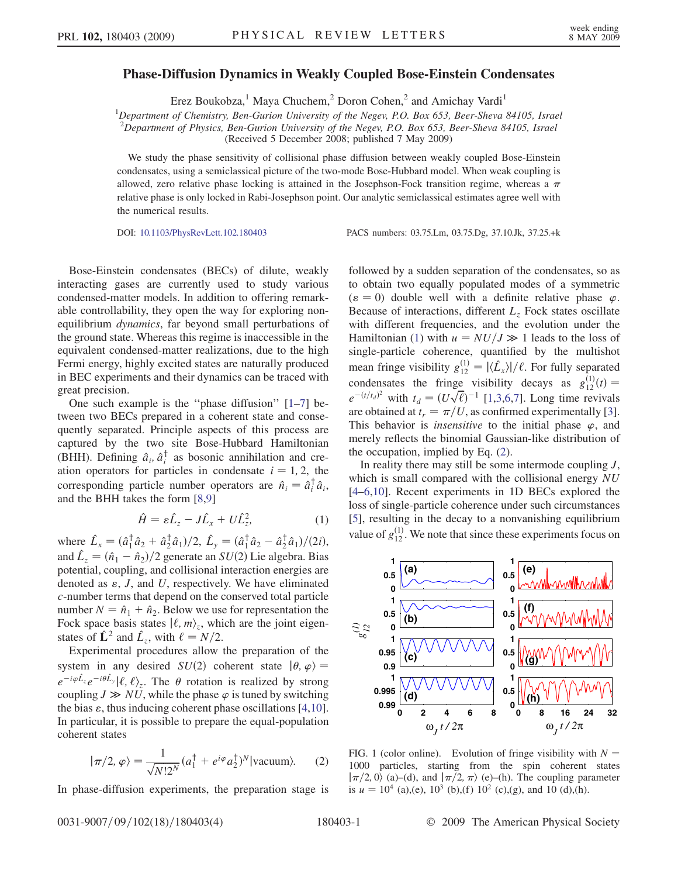## <span id="page-0-2"></span>Phase-Diffusion Dynamics in Weakly Coupled Bose-Einstein Condensates

Erez Boukobza,<sup>1</sup> Maya Chuchem,<sup>2</sup> Doron Cohen,<sup>2</sup> and Amichay Vardi<sup>1</sup>

<sup>1</sup>Department of Chemistry, Ben-Gurion University of the Negev, P.O. Box 653, Beer-Sheva 84105, Israel  ${}^{2}$ Department of Physics, Ben-Gurion University of the Negev, P.O. Box 653, Beer-Sheva 84105, Israel (Received 5 December 2008; published 7 May 2009)

We study the phase sensitivity of collisional phase diffusion between weakly coupled Bose-Einstein condensates, using a semiclassical picture of the two-mode Bose-Hubbard model. When weak coupling is allowed, zero relative phase locking is attained in the Josephson-Fock transition regime, whereas a  $\pi$ relative phase is only locked in Rabi-Josephson point. Our analytic semiclassical estimates agree well with the numerical results.

DOI: [10.1103/PhysRevLett.102.180403](http://dx.doi.org/10.1103/PhysRevLett.102.180403) PACS numbers: 03.75.Lm, 03.75.Dg, 37.10.Jk, 37.25.+k

Bose-Einstein condensates (BECs) of dilute, weakly interacting gases are currently used to study various condensed-matter models. In addition to offering remarkable controllability, they open the way for exploring nonequilibrium dynamics, far beyond small perturbations of the ground state. Whereas this regime is inaccessible in the equivalent condensed-matter realizations, due to the high Fermi energy, highly excited states are naturally produced in BEC experiments and their dynamics can be traced with great precision.

One such example is the ''phase diffusion'' [1–7] between two BECs prepared in a coherent state and consequently separated. Principle aspects of this process are captured by the two site Bose-Hubbard Hamiltonian (BHH). Defining  $\hat{a}_i, \hat{a}_i^{\dagger}$  as bosonic annihilation and cre-<br>ation operators for particles in condensate  $i = 1, 2$ , the ation operators for particles in condensate  $i = 1, 2$ , the corresponding particle number operators are  $\hat{n}_i = \hat{a}_i^{\dagger} \hat{a}_i$ ,<br>and the BHH takes the form [8,9] and the BHH takes the form [8,9]

$$
\hat{H} = \varepsilon \hat{L}_z - J \hat{L}_x + U \hat{L}_z^2, \tag{1}
$$

<span id="page-0-0"></span>where  $\hat{L}_x = (\hat{a}_1^\dagger \hat{a}_2 + \hat{a}_2^\dagger \hat{a}_1)/2$ ,  $\hat{L}_y = (\hat{a}_1^\dagger \hat{a}_2 - \hat{a}_2^\dagger \hat{a}_1)/2i$ ),<br>and  $\hat{L}_y = (\hat{a}_2 - \hat{a}_3)/2$  generate an  $SU(2)$ , i.e. algebra. Bias and  $\hat{L}_z = (\hat{n}_1 - \hat{n}_2)/2$  generate an  $SU(2)$  Lie algebra. Bias<br>potential coupling and collisional interaction energies are potential, coupling, and collisional interaction energies are denoted as  $\varepsilon$ , J, and U, respectively. We have eliminated c-number terms that depend on the conserved total particle number  $N = \hat{n}_1 + \hat{n}_2$ . Below we use for representation the Fock space basis states  $| \ell, m \rangle_z$ , which are the joint eigenstates of  $\hat{\mathbf{L}}^2$  and  $\hat{L}_z$ , with  $\ell = N/2$ .<br>Experimental procedures allow

Experimental procedures allow the preparation of the system in any desired  $SU(2)$  coherent state  $|\theta, \varphi\rangle =$ <br> $e^{-i\varphi \hat{L}_z}e^{-i\theta \hat{L}_z}|\hat{\ell}\rangle$ . The  $\theta$  retation is realized by strong  $e^{-i\varphi \hat{L}_z}e^{-i\theta \hat{L}_y}|\ell,\ell\rangle_z$ . The  $\theta$  rotation is realized by strong coupling  $J \gg NU$ , while the phase  $\varphi$  is tuned by switching the bias  $\varepsilon$ , thus inducing coherent phase oscillations [4,10]. In particular, it is possible to prepare the equal-population coherent states

<span id="page-0-1"></span>
$$
|\pi/2, \varphi\rangle = \frac{1}{\sqrt{N!2^N}} (a_1^\dagger + e^{i\varphi} a_2^\dagger)^N |\text{vacuum}\rangle.
$$
 (2)

In phase-diffusion experiments, the preparation stage is

followed by a sudden separation of the condensates, so as to obtain two equally populated modes of a symmetric  $(\varepsilon = 0)$  double well with a definite relative phase  $\varphi$ . Because of interactions, different  $L<sub>z</sub>$  Fock states oscillate with different frequencies, and the evolution under the Hamiltonian [\(1](#page-0-0)) with  $u = NU/J \gg 1$  leads to the loss of single-particle coherence quantified by the multishot single-particle coherence, quantified by the multishot mean fringe visibility  $g_{12}^{(1)}=|\langle \hat{L}_x \rangle|/\ell$ . For fully separated<br>12 in factor of the following spiritual sectors of  $\epsilon_1(t)/\ell$ . condensates the fringe visibility decays as  $g_{12}^{(1)}(t) = e^{-(t/t_d)^2}$  with  $t_d = (U\sqrt{\ell})^{-1}$  [1,3,6,7]. Long time revivals are obtained at  $t_r = \pi/U$ , as confirmed experimentally [3]. This behavior is *insensitive* to the initial phase  $\varphi$ , and merely reflects the binomial Gaussian-like distribution of the occupation, implied by Eq. ([2](#page-0-1)).

In reality there may still be some intermode coupling  $J$ , which is small compared with the collisional energy NU [4–6,10]. Recent experiments in 1D BECs explored the loss of single-particle coherence under such circumstances [5], resulting in the decay to a nonvanishing equilibrium value of  $g_{12}^{(1)}$ . We note that since these experiments focus on



FIG. 1 (color online). Evolution of fringe visibility with  $N =$ 1000 particles, starting from the spin coherent states  $|\pi/2, 0\rangle$  (a)–(d), and  $|\pi/2, \pi\rangle$  (e)–(h). The coupling parameter is  $u = 10^4$  (a),(e),  $10^3$  (b),(f)  $10^2$  (c),(g), and 10 (d),(h).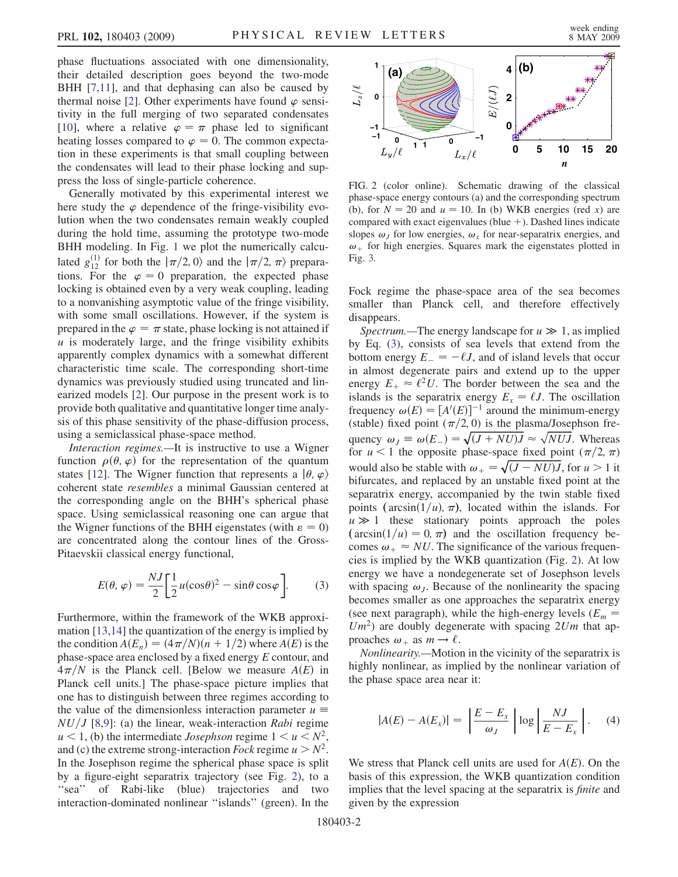<span id="page-1-1"></span>phase fluctuations associated with one dimensionality, their detailed description goes beyond the two-mode BHH [7,11], and that dephasing can also be caused by thermal noise [2]. Other experiments have found  $\varphi$  sensitivity in the full merging of two separated condensates [10], where a relative  $\varphi = \pi$  phase led to significant heating losses compared to  $\varphi = 0$ . The common expectation in these experiments is that small coupling between the condensates will lead to their phase locking and suppress the loss of single-particle coherence.

Generally motivated by this experimental interest we here study the  $\varphi$  dependence of the fringe-visibility evolution when the two condensates remain weakly coupled during the hold time, assuming the prototype two-mode BHH modeling. In Fig. [1](#page-0-2) we plot the numerically calculated  $g_{12}^{(1)}$  for both the  $|\pi/2, 0\rangle$  and the  $|\pi/2, \pi\rangle$  prepara-<br>tions. For the  $\omega = 0$  preparation, the expected phase tions. For the  $\varphi = 0$  preparation, the expected phase locking is obtained even by a very weak coupling, leading to a nonvanishing asymptotic value of the fringe visibility, with some small oscillations. However, if the system is prepared in the  $\varphi = \pi$  state, phase locking is not attained if  $u$  is moderately large, and the fringe visibility exhibits apparently complex dynamics with a somewhat different characteristic time scale. The corresponding short-time dynamics was previously studied using truncated and linearized models [2]. Our purpose in the present work is to provide both qualitative and quantitative longer time analysis of this phase sensitivity of the phase-diffusion process, using a semiclassical phase-space method.

Interaction regimes.—It is instructive to use a Wigner function  $\rho(\theta, \varphi)$  for the representation of the quantum states [12]. The Wigner function that represents a  $|\theta, \varphi\rangle$ coherent state resembles a minimal Gaussian centered at the corresponding angle on the BHH's spherical phase space. Using semiclassical reasoning one can argue that the Wigner functions of the BHH eigenstates (with  $\varepsilon = 0$ ) are concentrated along the contour lines of the Gross-Pitaevskii classical energy functional,

<span id="page-1-0"></span>
$$
E(\theta, \varphi) = \frac{NJ}{2} \left[ \frac{1}{2} u(\cos \theta)^2 - \sin \theta \cos \varphi \right].
$$
 (3)

Furthermore, within the framework of the WKB approximation [13,14] the quantization of the energy is implied by the condition  $A(E_n) = (4\pi/N)(n + 1/2)$  where  $A(E)$  is the phase-space area enclosed by a fixed energy E contour, and  $4\pi/N$  is the Planck cell. [Below we measure  $A(E)$  in Planck cell units.] The phase-space picture implies that one has to distinguish between three regimes according to the value of the dimensionless interaction parameter  $u \equiv$  $NU/J$  [8,9]: (a) the linear, weak-interaction Rabi regime  $u < 1$ , (b) the intermediate *Josephson* regime  $1 < u < N^2$ , and (c) the extreme strong-interaction *Fock* regime  $u > N^2$ . In the Josephson regime the spherical phase space is split by a figure-eight separatrix trajectory (see Fig. 2), to a "sea" of Rabi-like (blue) trajectories and two interaction-dominated nonlinear ''islands'' (green). In the



FIG. 2 (color online). Schematic drawing of the classical phase-space energy contours (a) and the corresponding spectrum (b), for  $N = 20$  and  $u = 10$ . In (b) WKB energies (red x) are compared with exact eigenvalues (blue  $+$ ). Dashed lines indicate slopes  $\omega_j$  for low energies,  $\omega_x$  for near-separatrix energies, and  $\omega_{+}$  for high energies. Squares mark the eigenstates plotted in Fig. [3.](#page-2-0)

Fock regime the phase-space area of the sea becomes smaller than Planck cell, and therefore effectively disappears.

Spectrum.—The energy landscape for  $u \gg 1$ , as implied<br>Form  $(3)$  consists of searly evels that extend from the by Eq. [\(3](#page-1-0)), consists of sea levels that extend from the bottom energy  $E_{-} = -\ell J$ , and of island levels that occur in almost degenerate pairs and extend up to the upper energy  $E_+ \approx \ell^2 U$ . The border between the sea and the islands is the separatrix energy  $E_x = \ell J$ . The oscillation frequency  $\omega(E) = [A'(E)]^{-1}$  around the minimum-energy (stable) fixed point  $(\pi/2, 0)$  is the plasma/Josephson frequency  $\omega_j \equiv \omega(E) = \sqrt{(J + N U)J} \approx \sqrt{NUJ}$ . Whereas for  $u < 1$  the opposite phase-space fixed point  $(\pi/2, \pi)$ would also be stable with  $\omega_+ = \sqrt{(J - N U)J}$ , for  $u > 1$  it<br>bifurcates, and replaced by an unstable fixed point at the bifurcates, and replaced by an unstable fixed point at the separatrix energy, accompanied by the twin stable fixed points ( $arcsin(1/u)$ ,  $\pi$ ), located within the islands. For  $u \gg 1$  these stationary points approach the poles<br>(arcsin(1/u) = 0  $\pi$ ) and the oscillation frequency be- $\arcsin(1/u)=0, \pi$  and the oscillation frequency becomes  $\omega_+ \approx NU$ . The significance of the various frequencies is implied by the WKB quantization (Fig. 2). At low energy we have a nondegenerate set of Josephson levels with spacing  $\omega_l$ . Because of the nonlinearity the spacing becomes smaller as one approaches the separatrix energy (see next paragraph), while the high-energy levels ( $E_m$  =  $Um^2$ ) are doubly degenerate with spacing  $2Um$  that approaches  $\omega_+$  as  $m \to \ell$ .

Nonlinearity.—Motion in the vicinity of the separatrix is highly nonlinear, as implied by the nonlinear variation of the phase space area near it:

$$
|A(E) - A(E_x)| = \left| \frac{E - E_x}{\omega_J} \right| \log \left| \frac{NJ}{E - E_x} \right|.
$$
 (4)

We stress that Planck cell units are used for  $A(E)$ . On the basis of this expression, the WKB quantization condition implies that the level spacing at the separatrix is finite and given by the expression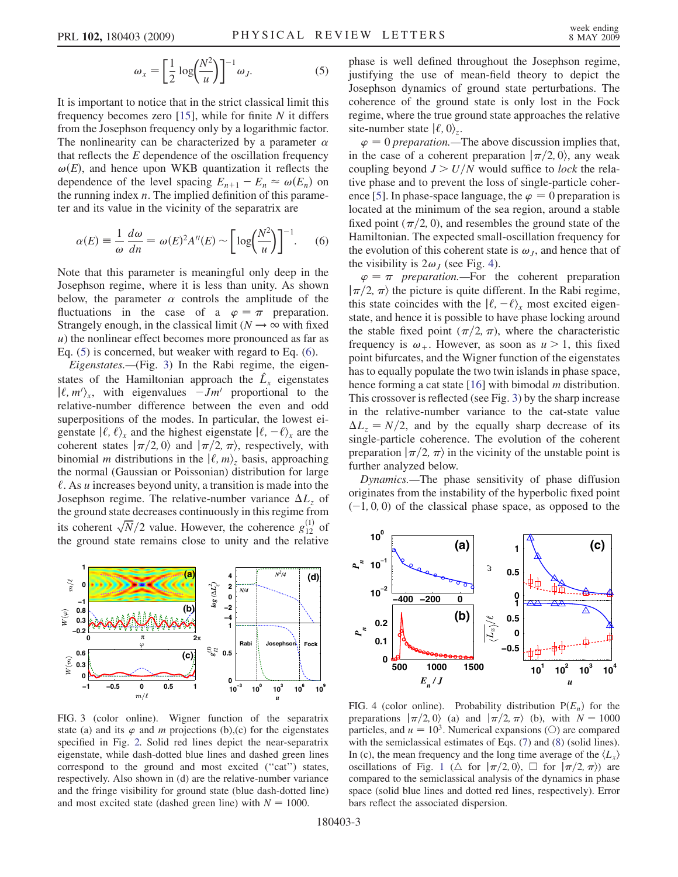$$
\omega_x = \left[\frac{1}{2}\log\left(\frac{N^2}{u}\right)\right]^{-1}\omega_J.
$$
 (5)

<span id="page-2-1"></span><span id="page-2-0"></span>It is important to notice that in the strict classical limit this frequency becomes zero  $[15]$ , while for finite N it differs from the Josephson frequency only by a logarithmic factor. The nonlinearity can be characterized by a parameter  $\alpha$ that reflects the  $E$  dependence of the oscillation frequency  $\omega(E)$ , and hence upon WKB quantization it reflects the dependence of the level spacing  $E_{n+1} - E_n \approx \omega(E_n)$  on the running index  $n$ . The implied definition of this parameter and its value in the vicinity of the separatrix are

<span id="page-2-2"></span>
$$
\alpha(E) \equiv \frac{1}{\omega} \frac{d\omega}{dn} = \omega(E)^2 A''(E) \sim \left[ \log \left( \frac{N^2}{u} \right) \right]^{-1} . \tag{6}
$$

Note that this parameter is meaningful only deep in the Josephson regime, where it is less than unity. As shown below, the parameter  $\alpha$  controls the amplitude of the fluctuations in the case of a  $\varphi = \pi$  preparation. Strangely enough, in the classical limit ( $N \rightarrow \infty$  with fixed u) the nonlinear effect becomes more pronounced as far as Eq. ([5\)](#page-2-1) is concerned, but weaker with regard to Eq. [\(6](#page-2-2)).

Eigenstates.—(Fig. 3) In the Rabi regime, the eigenstates of the Hamiltonian approach the  $\hat{L}_x$  eigenstates  $|\ell, m'\rangle_x$ , with eigenvalues  $-Jm'$  proportional to the relative-number difference between the even and odd superpositions of the modes. In particular, the lowest eigenstate  $\langle \ell, \ell \rangle_{x}$  and the highest eigenstate  $\langle \ell, -\ell \rangle_{x}$  are the coherent states  $|\pi/2, 0\rangle$  and  $|\pi/2, \pi\rangle$ , respectively, with binomial *m* distributions in the  $|\ell, m\rangle$ , basis, approaching the normal (Gaussian or Poissonian) distribution for large  $\ell$ . As *u* increases beyond unity, a transition is made into the Josephson regime. The relative-number variance  $\Delta L_z$  of the ground state decreases continuously in this regime from its coherent  $\sqrt{N}/2$  value. However, the coherence  $g_{12}^{(1)}$  of the ground state remains close to unity and the relative the ground state remains close to unity and the relative



FIG. 3 (color online). Wigner function of the separatrix state (a) and its  $\varphi$  and m projections (b),(c) for the eigenstates specified in Fig. [2.](#page-1-1) Solid red lines depict the near-separatrix eigenstate, while dash-dotted blue lines and dashed green lines correspond to the ground and most excited (''cat'') states, respectively. Also shown in (d) are the relative-number variance and the fringe visibility for ground state (blue dash-dotted line) and most excited state (dashed green line) with  $N = 1000$ .

phase is well defined throughout the Josephson regime, justifying the use of mean-field theory to depict the Josephson dynamics of ground state perturbations. The coherence of the ground state is only lost in the Fock regime, where the true ground state approaches the relative site-number state  $|\ell, 0\rangle$ .

 $\varphi = 0$  preparation.—The above discussion implies that, in the case of a coherent preparation  $|\pi/2, 0\rangle$ , any weak coupling beyond  $J > U/N$  would suffice to lock the relative phase and to prevent the loss of single-particle coherence [5]. In phase-space language, the  $\varphi = 0$  preparation is located at the minimum of the sea region, around a stable fixed point  $(\pi/2, 0)$ , and resembles the ground state of the Hamiltonian. The expected small-oscillation frequency for the evolution of this coherent state is  $\omega_I$ , and hence that of the visibility is  $2\omega_J$  (see Fig. 4).

 $\varphi = \pi$  preparation.—For the coherent preparation  $|\pi/2, \pi\rangle$  the picture is quite different. In the Rabi regime, this state coincides with the  $|\ell, -\ell\rangle$ <sub>x</sub> most excited eigenstate, and hence it is possible to have phase locking around the stable fixed point  $(\pi/2, \pi)$ , where the characteristic frequency is  $\omega_+$ . However, as soon as  $u > 1$ , this fixed point bifurcates, and the Wigner function of the eigenstates has to equally populate the two twin islands in phase space, hence forming a cat state [16] with bimodal *m* distribution. This crossover is reflected (see Fig. 3) by the sharp increase in the relative-number variance to the cat-state value  $\Delta L_z = N/2$ , and by the equally sharp decrease of its single-particle coherence. The evolution of the coherent preparation  $|\pi/2, \pi\rangle$  in the vicinity of the unstable point is further analyzed below.

Dynamics.—The phase sensitivity of phase diffusion originates from the instability of the hyperbolic fixed point  $(-1, 0, 0)$  of the classical phase space, as opposed to the



FIG. 4 (color online). Probability distribution  $P(E_n)$  for the preparations  $|\pi/2, 0\rangle$  (a) and  $|\pi/2, \pi\rangle$  (b), with  $N = 1000$ particles, and  $u = 10<sup>3</sup>$ . Numerical expansions (O) are compared with the semiclassical estimates of Eqs. [\(7\)](#page-3-0) and ([8\)](#page-3-1) (solid lines). In (c), the mean frequency and the long time average of the  $\langle L_x \rangle$ oscillations of Fig. [1](#page-0-2) ( $\triangle$  for  $|\pi/2, 0\rangle$ ,  $\Box$  for  $|\pi/2, \pi\rangle$ ) are compared to the semiclassical analysis of the dynamics in phase space (solid blue lines and dotted red lines, respectively). Error bars reflect the associated dispersion.